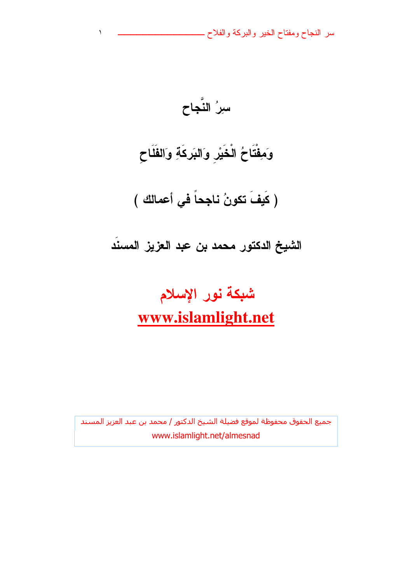سر النجاح ومفتاح الخير والبركة والفلاح ــ

سِرُ النَّجاح وَمِفْتَاحُ الْخَيْرِ وَالبَركَةِ وَالفَلَاحِ ( كَيفَ تكونُ ناجِحاً في أعمالك )

 $\blacklozenge$ 

شبكة نور الإسلام www.islamlight.net

الشيخ الدكتور محمد بن عبد العزيز المسند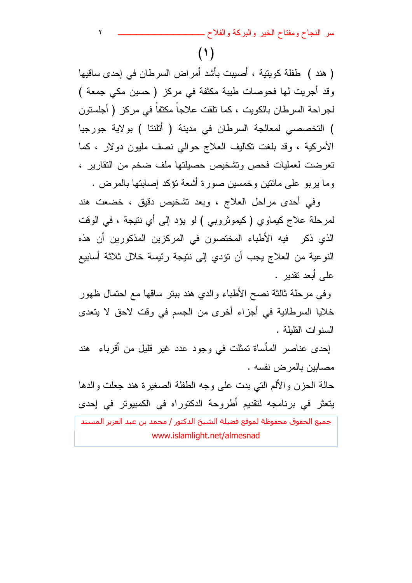سر النجاح ومفتاح الخير والبركة والفلاح \_

 $(1)$ 

 $\blacktriangledown$ 

( هند ) طفلة كويتية ، أصبيت بأشد أمراض السرطان في إحدى ساقيها وقد أجريت لها فحوصات طيبة مكثفة في مركز ( حسين مكي جمعة ) لجراحة السرطان بالكويت ، كما تلقت علاجاً مكثفاً في مركز ( أجلستون ) التخصصي لمعالجة السرطان في مدينة ( أتلنتا ) بولاية جورجيا الأمركية ، وقد بلغت نكاليف العلاج حوالي نصف مليون دولار ، كما تعرضت لعمليات فحص وتشخيص حصيلتها ملف ضخم من التقارير ، وما بربو على مائنين وخمسين صورة أشعة نؤكد إصابتها بالمرض .

وفي أحدى مراحل العلاج ، وبعد تشخيص دقيق ، خضعت هند لمرحلة علاج كيماوي (كيموثروبي ) لو يؤد إلى أي نتيجة ، في الوقت الذي ذكر فيه الأطباء المختصون في المركزين المذكورين أن هذه النوعية من العلاج يجب أن نؤدي إلى ننيجة رئيسة خلال ثلاثة أسابيع على أبعد نقدير .

وفي مرحلة ثالثة نصح الأطباء والدي هند ببنر ساقها مع احتمال ظهور خلايا السرطانية في أجزاء أخرى من الجسم في وقت لاحق لا يتعدى السنوات القلبلة .

إحدى عناصر المأساة تمثلت في وجود عدد غير قليل من أقرباء هند مصبابين بالمرض نفسه .

حالة الحزن والألم التبي بدت على وجه الطفلة الصغيرة هند جعلت والدها يتعثَّر في برنامجه لتقديم أطروحة الدكتوراه في الكمبيوتر في إحدى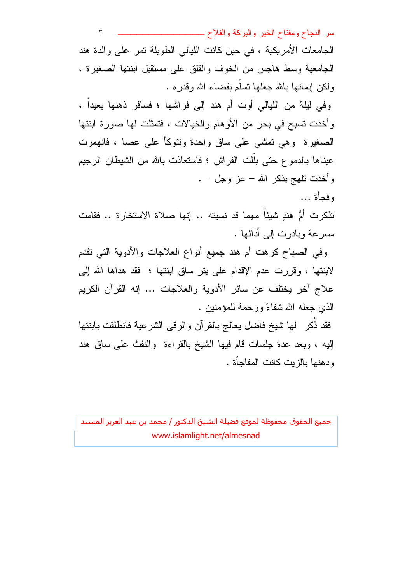سر النجاح ومفتاح الخير والبركة والفلاح ــــــ  $\mathbf{\breve{r}}$ الجامعات الأمريكية ، في حين كانت الليالي الطويلة تمر على والدة هند الجامعية وسط هاجس من الخوف والقلق على مستقبل ابنتها الصغيرة ، ولكن ايمانها بالله جعلها نسلَّم بقضاء الله وقدره . وفي ليلة من الليالي أوت أم هند إلى فراشها ؛ فسافر ذهنها بعيداً ، وأخذت تسبح في بحرٍ من الأوهام والخيالات ، فتمثلت لها صورة ابنتها

الصغيرة وهي تمشي على ساق واحدة ونتوكأ على عصا ، فانهمرت عيناها بالدموع حتى بلَّلت الفراش ؛ فاستعاذت بالله من الشيطان الرجيم وأخذت نلهج بذكر الله – عز وجل – .

وفجأة ...

تذكرت أمُّ هندٍ شيئاً مهما قد نسيته .. إنها صلاة الاستخارة .. فقامت مسرعة وبادرت إلى أدآئها .

وفي الصباح كرهت أم هند جميع أنواع العلاجات والأدوية التي تقدم لابنتها ، وقررت عدم الإقدام على بتر ساق ابنتها ؛ فقد هداها الله إلى علاج أخر يختلف عن سائر الأدوية والعلاجات … إنه القرأن الكريم الذي جعله الله شفاءً ورحمة للمؤمنين .

فقد ذُكر ۖ لها شيخ فاضل يعالج بالقرآن والرقى الشرعية فانطلقت بابنتها إليه ، وبعد عدة جلسات قام فيها الشيخ بالقراءة والنفث على ساق هند ودهنها بالزبت كانت المفاجأة .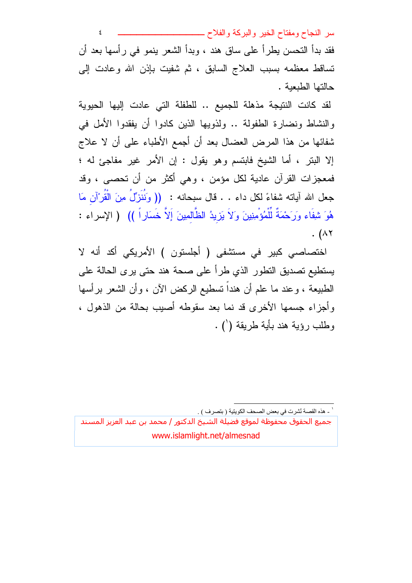سر النجاح ومفتاح الخير والبركة والفلاح ــــــــــ ٤ فقد بدأ التحسن بطراً على ساق هند ، وبدأ الشعر بنمو في رأسها بعد أن نساقط معظمه بسبب العلاج السابق ، ثم شفيت بإذن الله وعادت إلى حالتها الطبعبة .

لقد كانت النتيجة مذهلة للجميع .. للطفلة التي عادت إليها الحيوية والنشاط ونضارة الطفولة .. ولذويها الذين كادوا أن يفقدوا الأمل في شفائها من هذا المرض العضال بعد أن أجمع الأطباء على أن لا علاج إلا البتر ، أما الشيخ فابتسم وهو يقول : إن الأمر غير مفاجئ له ؛ فمعجزات القرآن عادية لكل مؤمن ، وهي أكثر من أن تحصبي ، وقد جعل الله آياته شفاءً لكل داء . . قال سبحانه : (( وَنُنَزِّلُ مِنَ الْقُرْآنِ مَا هُوَ شِفَاء وَرَحْمَةٌ لَلْمُؤْمِنِينَ وَلاَ يَزِيدُ الظَّالمِينَ إَلاَّ خَسَاراً )) ( الإسراء : . ( $\wedge$ ۲

اختصاصبي كبير في مستشفى ( أجلستون ) الأمريكي أكد أنه لا يستطيع تصديق التطور الذي طرأ على صحة هند حتى يرى الحالة على الطبيعة ، وعند ما علم أن هنداً تسطيع الركض الآن ، وأن الشعر برأسها وأجزاء جسمها الأخرى قد نما بعد سقوطه أصبب بحالة من الذهول ، وطلب رؤية هند بأية طريقة (') .

<sup>&#</sup>x27; ـ هذه القصة نُشرت في بعض الصحف الكويتية ( بتصرف ) .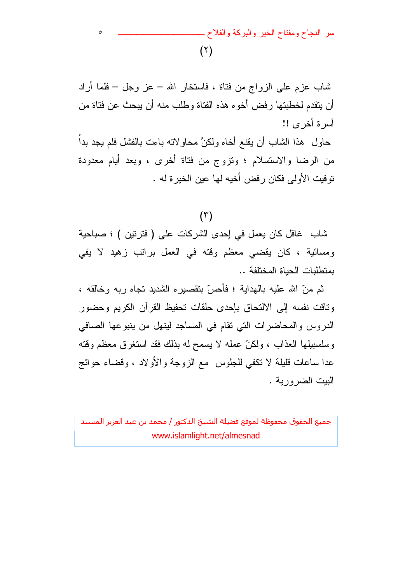سر النجاح ومفتاح الخير والبركة والفلاح ـ  $(\lambda)$ 

 $\circ$ 

شاب عزم على الزواج من فتاة ، فاستخار الله – عز وجل – فلما أراد أن يتقدم لخطبتها رفض أخوه هذه الفتاة وطلب منه أن يبحث عن فتاة من أسرة أخرى !! حاول ۖ هذا الشَّاب أن يقنع أخاه ولكنَّ محاولاته باءت بالفشل فلم يجد بداً من الرضا والاستسلام ؛ ونزوج من فتاة أخرى ، وبعد أيام معدودة نوفيت الأولى فكان رفض أخيه لها عين الخير ة له .

#### $(\tau)$

شاب غافل كان يعمل في إحدى الشركات على ( فترتين ) ؛ صباحية ومسائية ، كان يقضبي معظم وقته في العمل براتب زهيد لا يفي بمنطلبات الحباة المختلفة ..

ثم منّ الله عليه بالهداية ؛ فأحسّ بنقصبيره الشديد تجاه ربه وخالقه ، وناقت نفسه إلى الالتحاق بإحدى حلقات تحفيظ القرآن الكريم وحضور الدروس والمحاضرات التي نقام في المساجد لينهل من ينبوعها الصافي وسلسبيلها العذاب ، ولكنَّ عمله لا يسمح له بذلك فقد استغرق معظم وقته عدا ساعات قليلة لا نكفى للجلوس ً مع الزوجة والأولاد ، وقضاء حوائج البيت الضرورية .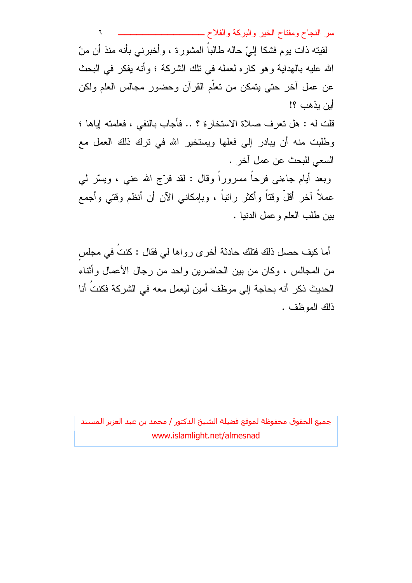لقيته ذات يوم فشكا إلىّ حاله طالباً المشورة ، وأخبرني بأنه منذ أن منّ الله عليه بالهداية وهو كاره لعمله في نلك الشركة ؛ وأنه يفكر في البحث عن عمل أخر حتى يتمكن من نعلم القرأن وحضور مجالس العلم ولكن أبن بذهب ؟! قلت له : هل تعرف صلاة الاستخارة ؟ .. فأجاب بالنفي ، فعلمته إياها ؛

وطلبت منه أن يبادر إلى فعلها ويستخير الله في نرك ذلك العمل مع السعى للبحث عن عمل آخر .

وبعد أيام جاءنبي فرحاً مسروراً وقال : لقد فرَّج الله عنبي ، ويسَّر لمي عملاً آخر أقلَّ وقتاً وأكثر راتباً ، وبإمكانـى الآن أن أنظم وقتـي وأجمع بين طلب العلم و عمل الدنيا .

أما كيف حصل ذلك فتلك حادثة أخرى رواها لي فقال : كنتُ في مجلس من المجالس ، وكان من بين الحاضرين واحد من رجال الأعمال وأثناء الحديث ذكر أنه بحاجة إلى موظف أمين ليعمل معه في الشركة فكنتَ أنا ذلك الموظف .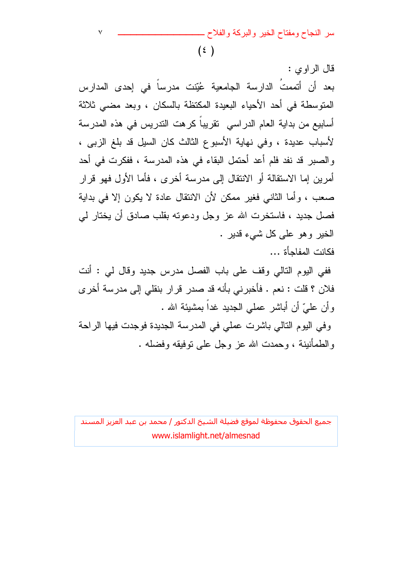سر النجاح ومفتاح الخير والبركة والفلاح ــ

 $(\epsilon)$ 

 $\vee$ 

قال الر او ی : بعد أن أتممتُ الدارسة الجامعية عُبِّنت مدرساً في إحدى المدارس المتوسطة في أحد الأحياء البعيدة المكتظة بالسكان ، وبعد مضى ثلاثة أسابيع من بداية العام الدراسي تقريباً كرهت التدريس في هذه المدرسة لأسباب عديدة ، وفي نهاية الأسبوع الثالث كان السيل قد بلغ الزبي ، والصبر قد نفد فلم أعد أحتمل البقاء في هذه المدرسة ، ففكرت في أحد أمرين إما الاستقالة أو الانتقال إلى مدرسة أخرى ، فأما الأول فهو قرار صعب ، وأما الثاني فغير ممكن لأن الانتقال عادة لا يكون إلا في بداية فصل جديد ، فاستخرت الله عز وجل ودعوته بقلب صادق أن يختار لي الخير وهو على كل شيء قدير . فكانت المفاحأة ...

ففي اليوم التالي وقف على باب الفصل مدرس جديد وقال لي : أنت فلان ؟ قلت : نعم . فأخبرني بأنه قد صدر قرار بنقلي إلى مدرسة أخرى وأن عليّ أن أباشر عملي الجديد غداً بمشيئة الله . وفي اليوم التالي باشرت عملي في المدرسة الجديدة فوجدت فيها الراحة والطمأنينة ، وحمدت الله عز وجل على نوفيقه وفضله .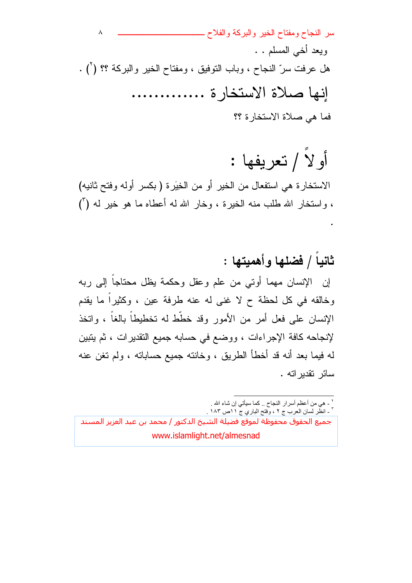سر النجاح ومفتاح الخير والبركة والفلاح ــ ٨ ويعد أخي المسلم . . هل عرفت سرِّ النجاح ، وباب النوفيق ، ومفتاح الخير والبركة ؟؟ (`) . إنها صلاة الاستخارة ............. فما هي صلاة الاستخار ة ؟؟

أو لا / نعريفها :

الاستخارة هي استفعال من الخير أو من الخِيَرة ( بكسر أوله وفتح ثانيه) ، واستخار الله طلب منه الخيرة ، وخار الله له أعطاه ما هو خير له (ً)

ثانياً / فضلها وأهميتها : إن الإنسان مهما أوتبي من علم وعقل وحكمة يظل محتاجاً إلى ربه وخالقه في كل لحظة ح لا غني له عنه طرفة عين ، وكثيراً ما يقدم الإنسان على فعل أمر من الأمور وقد خطط له تخطيطا بالغا ، واتخذ لإنجاحه كافة الإجراءات ، ووضع في حسابه جميع النقديرات ، ثم يتبين لـه فيمـا بـعد أنـه قد أخطأ الطريق ، وخانتـه جميع حساباتـه ، ولم تغن عنـه سائر تقدير اته .

<sup>٢</sup> ـ هي من أعظم أسرار النجاح <sub>..</sub> كما سيأتي إن شاء الله <sub>.</sub><br>٢ ـ انظر لسان الـعرب ج ٢ ، وفتح الباري ج ١ اص ١٨٣ <sub>.</sub>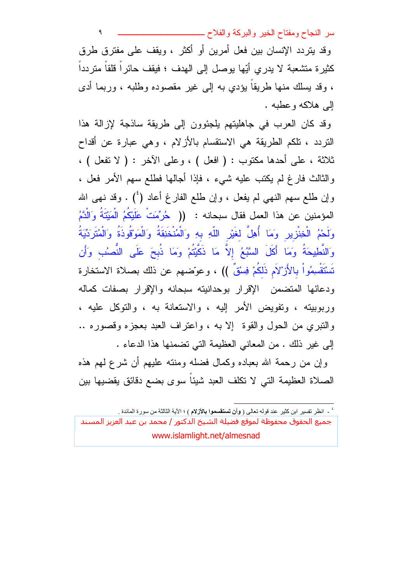٩ وقد بِتر دد الإنسان بين فعل أمرين أو أكثر ، وبقف على مفترق طرق كثيرة متشعبة لا يدري أيّها يوصل إلى الهدف ؛ فيقف حائراً قلقاً متردداً ، وقد بسلك منها طريقًا بؤدي به إلى غير مقصوده وطلبه ، وربما أدى البي هلاكه وعطبه .

وقد كان العرب في جاهليتهم بلجئوون إلى طريقة ساذجة لإزالة هذا النردد ، نلكم الطريقة هي الاستقسام بالأزلام ، وهي عبارة عن أقداح ثلاثة ، على أحدها مكتوب : ( افعل ) ، وعلى الآخر : ( لا تفعل ) ، والثالث فارغ لم يكتب عليه شيء ، فإذا أجالها فطلع سهم الأمر فعل ، وإن طلع سهم النهي لم يفعل ، وإن طلع الفارغ أعاد (<sup>٤</sup>) . وقد نهي الله المؤمنين عن هذا العمل فقال سبحانه : (( هُرُمّتٌ عَلَيْكُمُ الْمَيْتَةُ وَالْدَّمُ وَلَحْمُ الْخِنْزِيرِ وَمَا أُهِلَّ لغَيْرِ اللَّهِ بِهِ وَالْمُنْخَنِقَةُ وَالْمَوْقُوذَةُ وَالْمُتَرَدِّيَةُ وَالنَّطِيحَةُ ومَا أَكَلَ السَّبُمُ إلاَّ مَا ذَكَّبْتُمْ ومَا ذُبحَ عَلَى النَّصِبُ وَأَن تَسْتَقْسِمُواْ بِالأَزْلَامِ ذَلِكُمْ فِسْقٌ )) ، وعوّضهم عن ذلك بصلاة الاستخارة ودعائها المتضمن الإقرار بوحدانيته سبحانه والإقرار بصفات كماله وربوبيته ، ونفويض الأمر اليه ، والاستعانة به ، والتوكل عليه ، والنَّبْري من الحول والقوة إلا به ، واعتراف العبد بعجزه وقصوره .. إلى غير ذلك . من المعاني العظيمة التي تضمنها هذا الدعاء .

وإن من رحمة الله بعباده وكمال فضله ومنته عليهم أن شرع لمهم هذه الصلاة العظيمة التي لا تكلف العبد شيئا سوى بضع دقائق يقضيها بين

' - انظر تفسير ابن كثير عند قوله تعالى ( **وأن تستقسموا بالأزلام** ) ؛ الآية الثالثة من سورة المائدة <sub>.</sub>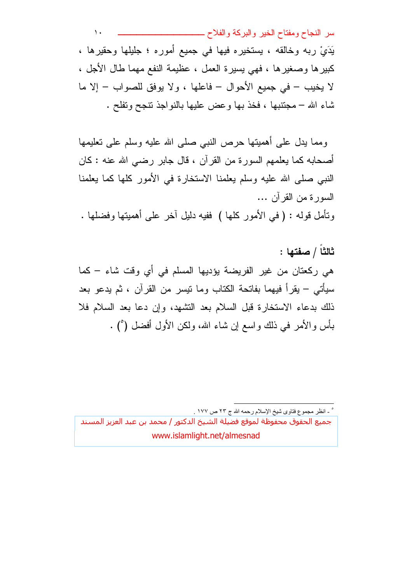$\mathcal{N}$ يَدَيْ ربه وخالقه ، يستخيره فيها في جميع أموره ؛ جليلها وحقيرها ، كبيرها وصغيرها ، فهي يسيرة العمل ، عظيمة النفع مهما طال الأجل ، لا يخيب – في جميع الأحوال – فاعلها ، ولا يوفق للصواب – إلا ما شاء الله – مجتنبها ، فخذ بها وعض عليها بالنواجذ نتجح ونفلح .

ومما يدل على أهميتها حرص النبي صلى الله عليه وسلم على تعليمها أصحابه كما يعلمهم السورة من القرآن ، قال جابر رضيي الله عنه : كان النبي صلَّى الله عليه وسلَّم يعلِّمنا الاستخارة في الأمور كلَّها كما يعلِّمنا السور ة من القر آن ... ونَأْمَلَ قولَه : ( في الأمور كلَّها ) ففيه دليل آخر على أهميتها وفضلها .

ثالثاً / صفتها : هي ركعتان من غير الفريضة يؤديها المسلم في أي وقت شاء – كما سيأتـي – يقرأ فيهما بفاتحة الكتاب وما نيسر من القرآن ، ثم يدعو بعد ذلك بدعاء الاستخارة قبل السلام بعد التشهد، وإن دعا بعد السلام فلا بأس والأمر في ذلك واسع إن شاء الله، ولكن الأول أفضل (°) .

° ۔ انظر ِ مجموع فتاوی شیخ الإسلام رحمه الله ج ۲۳ ص ۱۷۷ <sub>.</sub>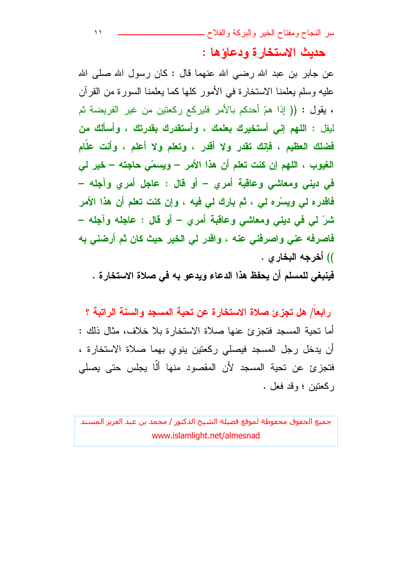حديث الاستخارة ودعاؤها :

عن جابر بن عبد الله رضـي الله عنـهما قال : كان رسول الله صلـي الله عليه وسلم يعلمنا الاستخارة في الأمور كلها كما يعلمنا السورة من القرآن ، يقول : (( إذا همّ أحدكم بالأمر فليركع ركعتين من غير الفريضة ثم ليقل : ا**للهم إني أستخيرك بعلمك ، وأستقدرك بقدرتك ، وأسألك من** فضلك العظيم ، فإنك تقدر ولا أقدر ، وتعلم ولا أعلم ، وأنت علَّام الغيوب ، اللهم إن كنت تعلم أن هذا الأمر – ويسمّى حاجته – خير لي في ديني ومعاشي وعاقبة أمرى – أو قال : عاجل أمرى وآجله – فاقدرہ لی ویسرّہ لی ، ثم بارك لی فیه ، وإن كنت تعلم أن هذا الأمر شرّ لي في ديني ومعاشي وعاقبة أمري – أو قال : عاجله وآجله – فاصرفه عني واصرفني عنه ، واقدر لي الخير حيث كان ثم أرضني به )) أخرجه البخار ي .

 $\lambda$ 

فينبغي للمسلم أن يحفظ هذا الدعاء ويدعو به في صلاة الاستخارة .

رابعا/ هل تجزئ صلاة الاستخارة عن تحية المسجد والسنة الراتبة ؟ أما تحية المسجد فتجزئ عنها صلاة الاستخار ة بلا خلاف، مثال ذلك : أن يدخل رجل المسجد فيصلى ركعتين ينوي بهما صلاة الاستخارة ، فتجزئ عن تحية المسجد لأن المقصود منها ألا يجلس حتى يصلى ركعتين ؛ وقد فعل .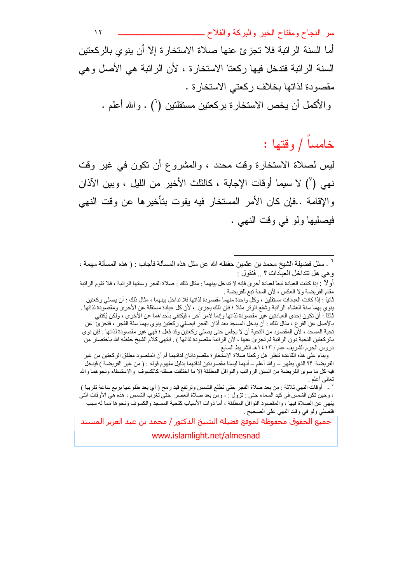سر النجاح ومفتاح الخير والبركة والفلاح ــ  $\gamma$ أما السنة الر اتبة فلا تجزئ عنها صلاة الاستخار ة إلا أن بنوى بالركعتين السنة الراتبة فتدخل فيها ركعتا الاستخارة ، لأن الراتبة هي الأصل وهي مقصودة لذاتها بخلاف ركعتي الاستخار ة .

والأكمل أن يخص الاستخارة بركعتين مستقلتين (`) . والله أعلم .

# خامسا / وقتها :

ليس لصلاة الاستخارة وقت محدد ، والمشروع أن نكون في غير وقت نهي (') لا سيما أوقات الإجابة ، كالثلث الأخير من الليل ، وبين الآذان والإقامة ..فإن كان الأمر المستخار فيه يفوت بتأخيرها عن وقت النهي فيصليها ولو في وقت النهي .

جميع الحقوق محفوظة لموقع فضلة الشيخ الدكتور / محمد بن عبد العزيز المسند

www.islamlight.net/almesnad

<sup>&</sup>lt;sup>7</sup> ـ سئل فضيلة الشيخ محمد بن عثمين حفظه الله عن مثل هذه المسألة فأجاب : ( هذه المسألة مهمة ، و هي هل نتداخل العبادات ؟ .. فنقول :

أو لأ ㆍ إذا كانت العبادة تبعاً لعبادة أخرى فإنه لا تداخل بينهما : مثال ذلك : صلاة الفجر وسنتها الراتبة ، فلا تقوم الراتبة مقَّام الفريضة ولا العكس ، لأن السنة تبع للفريضة .

ثانياً : إذا كانت العبادات مستقلين ، وكلَّ واحدة منهما مقصودة لذاتها فلا تداخل بينهما ، مثال ذلك : أن يصلى ركعتين ينوي بهما سنة العشاء الراتبة وشفع الوتر مثلاً ؛ فإن ذلك يجزئ ، لأن كل عبادة مستقلة عن الأخرى ومقصودة لذاتها . ثالثاً : أن تكون إحدى العبادتين غير مقصودة لذاتها وإنما لأمر آخر ، فيكتفي بأحداهما عن الأخرى ، ولكن يُكتفى بالأصل عن الفرع ، مثال ذلك : أن يدخل المسجد بعد آذان الفجر فيصلي ركعتين ينوي بهما سنّة الفجر ، فتجزئ عن تحية المسجد ، لأنّ المقصود من التحية أن لا يجلس حتى يصلي ركعتين وقد فعل ؛ فهي غير مقصودة لذاتها . فإن نوي بالركعتين التحية دون الراتبة لم تجزئ عنها ، لأن الراتبة مقصودة لذاتها ) ¸ انتهى كلام الشيخ حفظه الله باختصار من دروس الحرم الشريف عام / ٤١٣ هـ الشريط السابع .

وبناء على هذه القاعدة تنظر هل ركعنا صلاة الاستخارة مقصوداتان لذاتهما أم أن المقصود مطلق الركعتين من غير الفريضة ؟؟ الذي يظهر – والله أعلم – أنهما ليسنا مقصودتين لذاتهما بدليل مفهوم قوله : ( من غير الفريضة ) فيدخل فيه كل ما سوى الفريضة من السنن الرواتب والنوافل المطلقة إلا ما اختلفت صفته كالكسوف والاستسقاء ونحوهما والله تعالى أعلم

<sup>`</sup> \_ أوقات النهي ثلاثة : من بعد صلاة الفجر حتى تطلع الشمس وترتفع قيد رمح ( أي بعد طلوعها بربع ساعة تقريباً ) ، وحين تكن الشمس في كبد السماء حتى : تزول : ، ومن بعد صلاة العصر ِ حتى تغرب الشمس ، هذه هي الأوقات التي ينهي عن الصلاة فيها ، والمقصود النوافل المطلقة ، أما ذوات الأسباب كنحية المسجد والكسوف ونحوها مما له سبب فتصلي ولو في وقت النهي على الصحيح .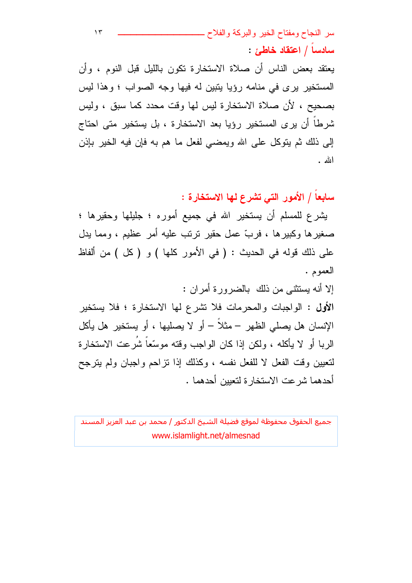سادساً / اعتقاد خاطئ :

يعتقد بعض الناس أن صلاة الاستخارة نكون بالليل قبل النوم ، وأن المستخير پر ی في منامه رؤيا بِتبين له فيها وجه الصواب ؛ وهذا ليس بصحيح ، لأن صلاة الاستخارة ليس لها وقت محدد كما سبق ، وليس شرطاً أن يرى المستخير رؤيا بعد الاستخارة ، بل يستخير متى احتاج إلى ذلك ثم يتوكل على الله ويمضي لفعل ما هم به فإن فيه الخير بإذن الله .

سابعاً / الأمور التي تشرع لها الاستخارة :

يشرع للمسلم أن يستخير الله في جميع أموره ؛ جليلها وحقيرها ؛ صغيرها وكبيرها ، فربَّ عمل حقير نرنب عليه أمر عظيم ، ومما يدل علي ذلك قوله في الحديث : ( في الأمور كلها ) و ( كل ) من ألفاظ العموم . إلا أنه بستثنى من ذلك بالضرورة أمران :

الأول : الواجبات والمحرمات فلا نشرع لها الاستخارة ؛ فلا يستخير الإنسان هل يصلي الظهر – مثلاً – أو لا يصليها ، أو يستخير هل يأكل الربا أو لا بِأكله ، ولكن إذا كان الواجب وقته موسَّعاً شَرعت الاستخارة لتعيين وقت الفعل لا للفعل نفسه ، وكذلك إذا نزاحم واجبان ولم بنرجح أحدهما شر عت الاستخار ة لتعيين أحدهما .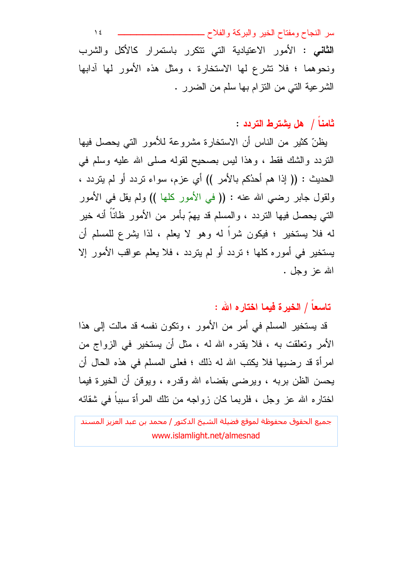$\lambda$  { **الثاني :** الأمور الاعتيادية التبي نتكرر باستمرار كالأكل والشرب ونحوهما ؛ فلا نشرع لها الاستخارة ، ومثل هذه الأمور لها أدابها الشرعية التي من النزام بها سلم من الضرر .

## ثامناً / هل يشترط التردد :

يظنّ كثير من الناس أن الاستخارة مشروعة للأمور التي يحصل فيها النردد والشك فقط ، وهذا ليس بصحيح لقوله صلى الله عليه وسلم في الحديث : (( إذا هم أحدُكم بالأمر )) أي عزم، سواء نردد أو لم يتردد ، ولقول جابر رضيي الله عنه : (( في الأمور كلها )) ولم يقل في الأمور التي يحصل فيها التردد ، والمسلم قد يهمّ بأمرٍ من الأمور ظانًا أنه خيرٍ له فلا يستخير ؛ فيكون شراً له وهو لا يعلم ، لذا يشرع للمسلم أن يستخير في أموره كلها ؛ نردد أو لم يتردد ، فلا يعلم عواقب الأمور إلا الله عز وجل .

### تاسعاً / الخبر ة فبما اختار ه الله :

قد يستخير المسلم في أمرٍ من الأمورِ ، وتكون نفسه قد مالت إلى هذا الأمر وتعلقت به ، فلا يقدره الله له ، مثل أن يستخير في الزواج من امرأة قد رضيها فلا يكتب الله له ذلك ؛ فعلى المسلم في هذه الحال أن يحسن الظن بربه ، ويرضى بقضاء الله وقدره ، ويوفن أن الخيرة فيما اختاره الله عز وجل ، فلربما كان زواجه من نلك المرأة سبباً في شقائه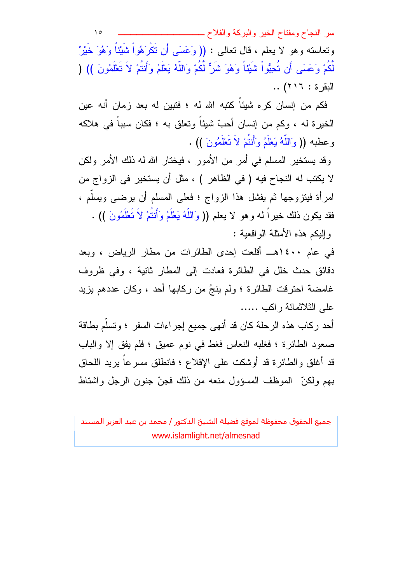$\Delta$ وتعاسته وهو لا يعلم ، فال تعالى : (( وَعَسَى أَن تَكْرَهُواْ شَبَيْنَاً وَهُوَ خَبْرٌ ّ لَّكُمْ وَعَسَى أَن تُحِبُّواْ شَيْئاً وَهُوَ شَرٌّ لَّكُمْ وَاللَّهُ يَعْلَمُ وَأَنتُمْ لاَ تَعْلَمُونَ )) ( اللقر ة: ٢١٦) ..

فكم من إنسان كره شيئاً كتبه الله له ؛ فتبين له بعد زمان أنه عين الخيرة له ، وكم من إنسان أحبّ شيئاً وتعلق به ؛ فكان سبباً في هلاكه وعطبه (( وَاللَّهُ يَعْلَمُ وَأَنتُمْ لاَ تَعْلَمُونَ )) .

وقد يستخير المسلم في أمر من الأمور ، فيختار الله له ذلك الأمر ولكن لا يكتب له النجاح فيه ( في الظاهر ) ، مثل أن يستخير في الزواج من امرأة فيتزوجها ثم يفشل هذا الزواج ؛ فعلى المسلم أن يرضى ويسلَّم ، فقد يكون ذلك خيراً له وهو لا يعلم (( وَاللَّهُ يَعْلَمُ وَأَنتُمْ لاَ تَعْلَمُونَ )) . وَالِيَكُمْ هَذَهُ الأَمَثَلَةُ الوَاقَعِيةُ :

في عام ١٤٠٠هــ أقلعت إحدى الطائرات من مطار الرياض ، وبعد دقائق حدث خلل في الطائرة فعادت إلى المطار ثانية ، وفي ظروف غامضة احترفت الطائرة ؛ ولم ينجُ من ركابها أحد ، وكان عددهم يزيد علے الثلاثمائة ر اكب .....

أحد ركاب هذه الرحلة كان قد أنهى جميع إجراءات السفر ؛ وتسلَّم بطاقة صعود الطائرة ؛ فغلبه النعاس فغط في نوم عميق ؛ فلم يفق إلا والباب قد أغلق والطائرة قد أوشكت على الإقلاع ؛ فانطلق مسرعا بيريد اللحاق بهم ولكنِّ الموظف المسؤول منعه من ذلك فجنَّ جنون الرجل واشتاط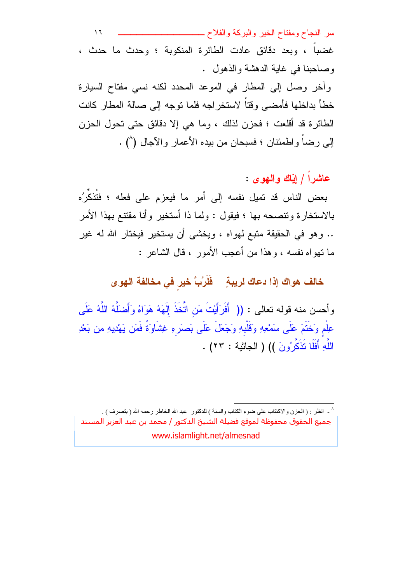$\overline{1}$ غضبا ، وبعد دقائق عادت الطائرة المنكوبة ؛ وحدث ما حدث ، وصاحبنا في غابة الدهشة والذهول .

وأخر وصل إلى المطار في الموعد المحدد لكنه نسى مفتاح السيارة خطأ بداخلها فأمضيي وقتاً لاستخراجه فلما توجه إلى صالة المطار كانت الطائرة قد أقلعت ؛ فحزن لذلك ، وما هي إلا دقائق حتى تحول الحزن إلى رضاً واطمئنان ؛ فسبحان من بيده الأعمار والآجال (^) .

# عاشراً / ابَّاك والنهوى :

بعض الناس قد تميل نفسه إلى أمر ما فيعزم على فعله ؛ فتُذكِّرُه بالاستخار ة وتتصبحه بها ؛ فيقول : ولما ذا أستخير ٍ وأنا مقتتع بهذا الأمر .. وهو في الحقيقة متبع لمهواه ، ويخشى أن يستخير فيختار الله له غير ما نهواه نفسه ، وهذا من أعجب الأمور ، قال الشاعر :

خالف هواك إذا دعاك لريبةٍ ﴿ فَلَرُبَّ خيرٍ في مخالفة الـهوى

وأحسن منه قوله نعالى : (( أَفَرَأَيْتَ مَن اتَّخَذَ إِلَهَهُ هَوَاهُ وَأَضلَّهُ اللَّهُ عَلَى عِلْم وَخَنَّمَ عَلَى سَمْعِهِ وَقَلْبِهِ وَجَعَلَ عَلَى بَصرَهِ غِشَاوَةً فَمَن يَهْدِيهِ مِن بَعْدِ اللَّهِ أَفَلَا تَذَكَّرُونَ )) ( الجاثية : ٢٣) .

^ ـ انظر : ( الحزن والاكنتاب على ضوء الكتاب والسنة ) للدكتور ٍ عبد الله الخاطر رحمه الله ( بتصرف ) . جميع الحقوق محفوظة لموقع فضيلة الشيخ الدكتور / محمد بن عبد العزيز المسند www.islamlight.net/almesnad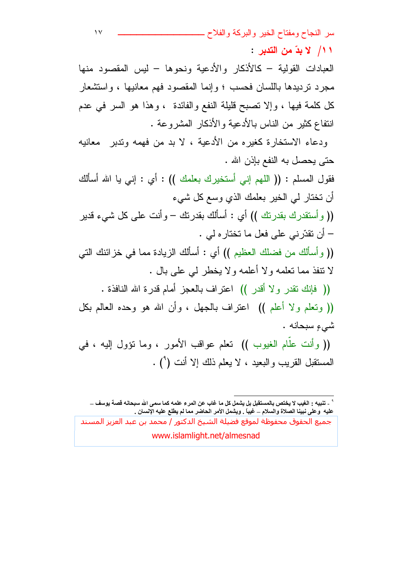سر النجاح ومفتاح الخير والبركة والفلاح \_ ١١/ لا بدّ من التدير :

العبادات القولية – كالأذكار والأدعية ونحوها – ليس المقصود منها مجرد نردیدها باللسان فحسب ؛ و إنما المقصود فهم معانیها ، و استشعار كل كلمة فيها ، وإلا نصبح قليلة النفع والفائدة ، وهذا هو السر في عدم انتفاع كثير من الناس بالأدعية والأذكار المشروعة .

ودعاء الاستخارة كغيره من الأدعية ، لا بد من فهمه وتدبر ً معانيه حتى يحصل به النفع بإذن الله .

فقول المسلم : (( اللهم إني أستخيرك بعلمك )) : أي : إني يا الله أسألك أن نختار لمي الخير بعلمك الذي وسع كل شيء (( و أستقدر ك بقدر تك )) أي : أسألك بقدر تك – و أنت علي كل شبيء قدير

– أن تقدّرني على فعل ما نختاره لي . (( و أسألك من فضلك العظيم )) أي : أسألك الزيادة مما في خز ائنك التي لا نتفذ مما نعلمه ولا أعلمه ولا يخطر لبي على بال . (( فَإِنَّكَ نَقْدَرَ وَلَا أَقْدَرَ )) اعتراف بالعجز أمام قدرة الله النافذة .

(( وتعلَّم ولا أعلم )) اعتراف بالجهل ، وأن الله هو وحده العالم بكل شيءِ سبحانه .

(( وأنت علم الغيوب )) تعلم عواقب الأمور ، وما نؤول إليه ، في المستقبل القريب والبعيد ، لا يعلم ذلك إلا أنت (°) .

<sup>&</sup>quot; - تنبيه : الغيب لا يختص بالمستقبل بل يشمل كل ما غاب عن المرء علمه كما سم*ى* الله سبحانه قصة يوسف ـــ عليه ۖ وعلى نبينا الصلاة والسلام \_ غيبًا . ويشمل الأمر الحاضر مما لم يطلع عليه الإنسان .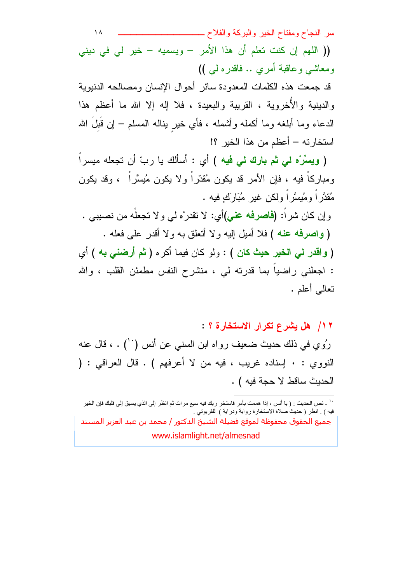سر النجاح ومفتاح الخير والبركة والفلاح ـــــــــ  $\lambda$ (( اللهم إن كنت تعلم أن هذا الأمر – ويسميه – خير لي في ديني ومعاشى وعاقبة أمري .. فاقدره لي )) قد جمعت هذه الكلمات المعدودة سائر أحوال الإنسان ومصىالحه الدنبوية والدينية والأخروية ، القريبة والبعيدة ، فلا إله إلا الله ما أعظم هذا الدعاء وما أبلغه وما أكمله وأشمله ، فأي خير يناله المسلم – إن قبل الله

استخارته – أعظم من هذا الخير ؟! ( ويسرَّه لي ثم بارك لي فيه ) أي : أسألك يا ربِّ أن تجعله ميسراً

ومباركاً فيه ، فإن الأمر قد يكون مُقدَّراً ولا يكون مُيسَّراً ، وقد يكون مُقدَّرٍ اَ ومُيسَّرٍ اَ ولكن غيرٍ مُبَارَكٍ فيه .

و إن كان شر أ: **(فاصرفه عني)**أي: لا نقدر ْه لي و لا نجعلّه من نصبيبي . ( واصرفه عنه ) فلا أميل إليه ولا أنعلق به ولا أقدر على فعله . ( واقدر لي الخير حيث كان ) : ولو كان فيما أكره ( ثم أرضني به ) أي : اجعلني راضياً بما قدرته لي ، منشرح النفس مطمئن القلب ، والله نعالى أعلم .

١٢/ هل يشرع تكرار الاستخارة ؟ :

رُوي في ذلك حديث ضعيف رواه ابن السني عن أنس (``) . ، قال عنه النووي : • إسناده غريب ، فيه من لا أعرفهم ) . قال العراقي : ( الحديث ساقط لا حجة فيه ) .

<sup>``</sup> ـ نص الحديث : ( يا أنس ، إذا هممت بأمر فاستخر ربك فيه سبع مرات ثم انظر إلى الذي يسبق إلى قلبك فإن الخير فيه ) . انظر ( حديثُ صلاة الاستخارة رواية ودراية ) للقريوتـى .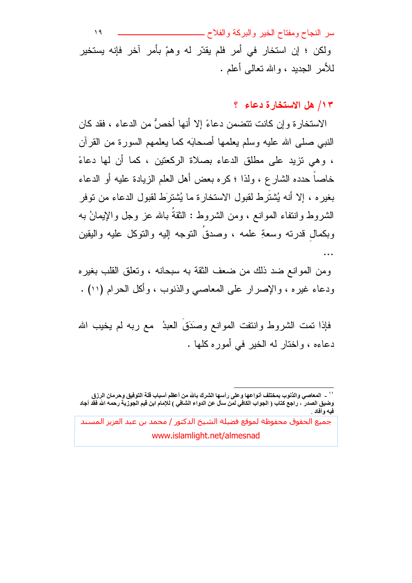سر النجاح ومفتاح الخير والبركة والفلاح ـــ  $\lambda$ ولکن ؛ إن استخار في أمر فلم يقدّر له وهمّ بأمر آخر فإنه يستخير للأمر الجديد ، والله نعالمي أعلم .

#### ١٣/ هل الاستخارة دعاء ؟

الاستخار ة وإن كانت تتضمن دعاءً إلا أنها أخصٌ من الدعاء ، فقد كان النبي صلَّى الله عليه وسلَّم يعلمها أصحابَه كما يعلمهم السورة من القرآن ، وهي نزيد على مطلق الدعاء بصلاة الركعتين ، كما أن لها دعاءً خاصا حدده الشارع ، ولذا ؛ كره بعض أهل العلم الزيادة عليه أو الدعاء بغيره ، إلا أنه يُشتَرط لقبول الاستخارة ما يُشترَط لقبول الدعاء من نوفر الشروط وانتفاء الموانع ، ومن الشروط : الثقةَ بالله عز وجل والإيمانُ به وبكمال قدرته وسعةِ علمه ، وصدقُ النوجه إليه والنوكل عليه واليقين  $\ddotsc$ 

ومن الموانع ضد ذلك من ضعف الثقة به سبحانه ، ونعلق القلب بغير ه ودعاء غيره ، والإصرار على المعاصبي والذنوب ، وأكل الحرام (١١) .

فإذا تمت الشروط وانتفت الموانع وصَدَق العبدُ ۖ مع ربه لم يخيب الله دعاءه ، واختار له الخبر في أمور ه كلها .

<sup>&#</sup>x27;' \_ المعاصى والذنوب بمختلف أنواعها وعلى رأسها الشرك بالله من أعظم أسباب قلة التوفيق وحرمان الرزق وضيق الصدر ّ ، راجع كتاب ( الجواب الكافّي لمن سألّ عن الدواء الشافي ) للإمام ابن قيم الجوزية رحمه الله فقد أجاد<br>فيه وأفاد

جميع الحقوق محفوظة لموقع فضلة الشيخ الدكتور / محمد بن عبد العزيز المسند www.islamlight.net/almesnad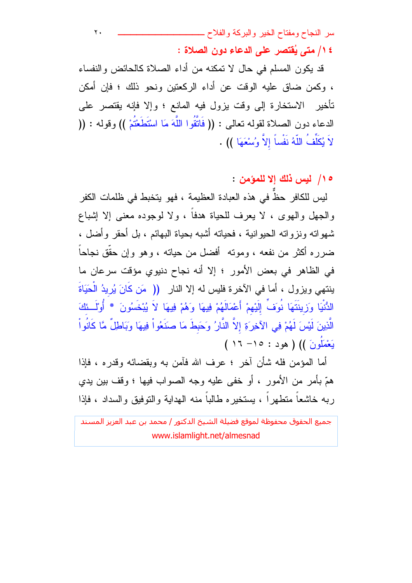$\mathbf{r}$ . ١٤/ متى يُقتصر على الدعاء دون الصلاة :

قد يكون المسلم في حال لا تمكنه من أداء الصلاة كالحائض والنفساء ، وكمن ضاقٍ عليه الوقت عن أداء الركعتين ونحو ذلك ؛ فإن أمكن تأخير الاستخارة إلى وقت يزول فيه المانع ؛ وإلا فإنه يقتصر على الدعاء دون الصلاة لقوله تعالى : (( فَاتَّقُوا اللَّهَ مَا اسْتَطَعْتُمْ )) وقوله : (( لاَ يُكَلِّفُ اللَّهُ نَفْساً إلاّ وُسْعَهَا )) .

ه ١/ ليس ذلك إلا للمؤمن :

ليس للكافر حظ في هذه العبادة العظيمة ، فهو يتخبط في ظلمات الكفر والجهل والهوى ، لا يعرف للحياة هدفاً ، ولا لوجوده معنى إلا إشباع شهواته ونزواته الحيوانية ، فحياته أشبه بحياة البهائم ، بل أحقر وأضل ، ضرره أكثر من نفعه ، وموته أفضل من حياته ، وهو وإن حقَّق نجاحاً في الظاهر في بعض الأمور ؛ إلا أنه نجاح دنيوي مؤقت سرعان ما بنتهي ويزول ، أما في الآخرة فليس له إلا النار (( مَن كَانَ يُرِيدُ الْحَيَاةَ الدُّنْيَا وَرَينَتَهَا نُوَفٍّ إِلَيْهِمْ أَعْمَالَهُمْ فِيهَا وَهُمْ فِيهَا لاَ يُبْخَسُونَ \* أُوْلَــئكَ الَّذِينَ لَيْسَ لَهُمْ فِي الآخِرَةِ إلاَّ النَّارُ وَحَبطَ مَا صَنَعُواْ فِيهَا وَبَاطِلٌ مَّا كَانُواْ يَعْمَلُونَ )) ( هود : ١٥- ١٦ )

أما المؤمن فله شأن آخر ؛ عرف الله فآمن به وبقضائه وقدره ، فإذا همّ بأمرٍ من الأمورِ ، أو خفى عليه وجه الصواب فيها ؛ وقف بين يدى ربه خاشعاً منطهراً ، يستخيره طالباً منه الهداية والنوفيق والسداد ، فإذا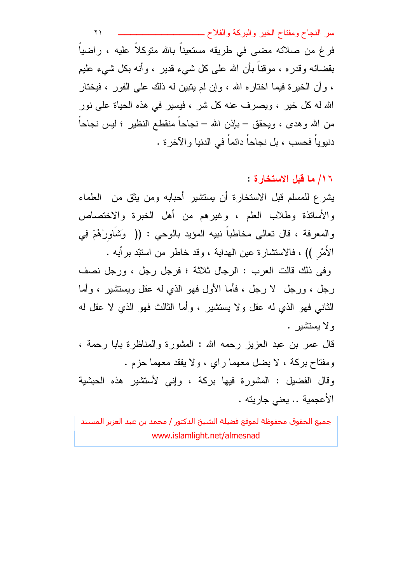سر النجاح ومفتاح الخير والبركة والفلاح سمسمسه  $\lambda$ فرغ من صلاته مضبي في طريقه مستعيناً بالله متوكلاً عليه ، راضياً بقضائه وقدره ، موقناً بأن الله على كل شيء قدير ، وأنه بكل شيء عليم ، و أن الخير ة فيما اختار ه الله ، و إن لم ينبين له ذلك على الفور ، فيختار الله له كل خير ، ويصرف عنه كل شر ، فيسير في هذه الحياة على نور من الله وهدى ، ويحقق – بإذن الله – نجاحاً منقطع النظير ؛ ليس نجاحاً دنيوياً فحسب ، بل نجاحاً دائماً في الدنيا و الآخر ة .

١٦/ ما قبل الإستخار ة :

يشرع للمسلم قبل الاستخارة أن يستشير أحبابه ومن يثق من العلماء والأساتذة وطلاب العلم ، وغيرهم من أهل الخبرة والاختصاص والمعرفة ، قال تعالى مخاطباً نبيه المؤيد بالوحى : (( وَشَاوِرْهُمْ فِي الأَمْرِ )) ، فالاستثنارة عين المهداية ، وقد خاطر من اسنتد برأيه .

وفي ذلك قالت العرب : الرجال ثلاثة ؛ فرجل رجل ، ورجل نصف رجل ، ورجل لا رجل ، فأما الأول فهو الذي له عقل ويستثنير ، وأما الثاني فهو الذي له عقل و لا يستشير ، و أما الثالث فهو الذي لا عقل له ولا يستشير .

قال عمر بن عبد العزيز رحمه الله : المشورة والمناظرة بابا رحمة ، ومفتاح بركة ، لا يضل معهما راي ، ولا يفقد معهما حزم . وقال الفضيل : المشورة فيها بركة ، وإني لأستشير هذه الحبشية الأعجمية .. يعني جاريته .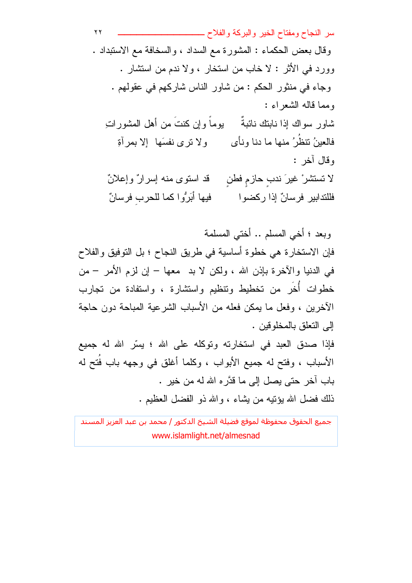سر النجاح ومفتاح الخير والبركة والفلاح سمسمسه  $\mathbf{y}$ وقال بعض الحكماء : المشورة مع السداد ، والسخافة مع الاستبداد . وورد في الأثر : لا خاب من استخار ، ولا ندم من استثمار . وجاء في منثور الحكم : من شاور الناس شاركهم في عقولهم . ومما قاله الشعراء : يوماً وإن كنتَ من أهل المشوراتِ شاور سواك إذا نابتك نائبةً فالعينُ نتظُرُ منها ما دنا ونأى ولا نرى نفسَها إلا بمرأةِ وقال آخر : قد استوى منه إسرارٌ وإعلانٌ لا تستشر° غيرَ ندب حازم فطن فيها أَبَرُّوا كما للحرب فرسانٌ فللتدابير فرسانٌ إذا ركضوا

وبعد ؛ أخي المسلم .. أختى المسلمة

فإن الاستخارة هي خطوة أساسية في طريق النجاح ؛ بل التوفيق والفلاح في الدنيا والأخرة بإذن الله ، ولكن لا بد ً معها – إن لزم الأمر – من خطوات أخَرٍ من تخطيط ونتظيم واستشارة ، واستفادة من تجارب الآخرين ، وفعل ما يمكن فعله من الأسباب الشرعية المباحة دون حاجة إلى التعلق بالمخلو قين .

فإذا صدق العبد في استخارته وتوكله على الله ؛ بِسِّرِ الله له جميع الأسباب ، وفتح له جميع الأبواب ، وكلما أغلق في وجهه باب فُتح له باب آخر حتى يصل إلى ما قدَّره الله له من خير . ذلك فضل الله بوُنبِه من بِشَاءِ ، والله ذو الفضل العظيم .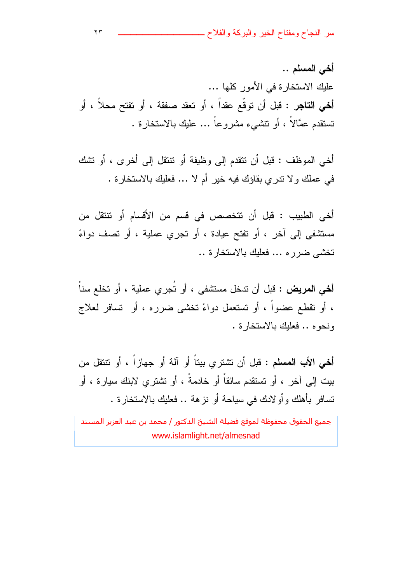سر النجاح ومفتاح الخير والبركة والفلاح ـــ

أخي المسلم .. علبك الاستخار ة في الأمور كلها ... أ**خي التاجر : ق**بل أن توقّع عقداً ، أو تعقد صفقة ، أو تفتح محلاً ، أو نستقدم عمَّالاً ، أو نتشَّىء مشروعاً … عليك بالاستخارة .

أخي الموظف : قبل أن نتقدم إلى وظيفة أو نتنقل إلى أخرى ، أو نشك في عملك و لا ندر ي بقاؤك فيه خير أم لا … فعليك بالاستخار ة .

أخي الطبيب : قبل أن تتخصص في قسم من الأقسام أو تتتقل من مستشفى إلى آخر ، أو تفتح عيادة ، أو تجري عملية ، أو تصف دواءً تخشى ضرره ... فعليك بالاستخارة ..

أ**خي المريض :** قبل أن ندخل مستشفى ، أو تُجري عملية ، أو تخلع سناً ، أو نقطع عضواً ، أو تستعمل دواءً تخشى ضرره ، أو تسافر لعلاج ونحوه .. فعلبك بالاستخارة .

أخي الأب المسلم : قبل أن نشتري بيتاً أو آلة أو جهازاً ، أو نتنقل من بيت إلى آخر ، أو تستقدم سائقاً أو خادمةً ، أو تشترى لابنك سيارة ، أو نسافر بأهلك وأو لادك في سياحة أو نزهة .. فعليك بالاستخارة .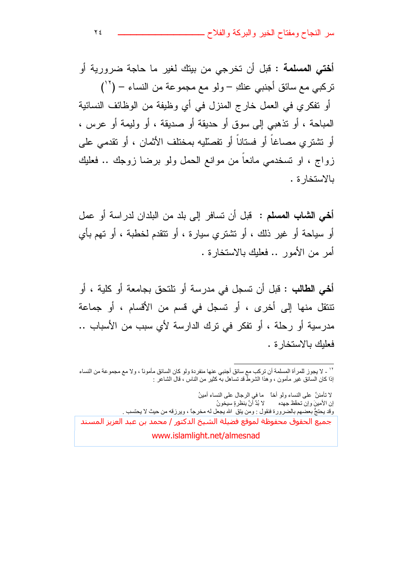سر النجاح ومفتاح الخير والبركة والفلاح ــ

أ**ختى المسلمة** : قبل أن تخرجي من بيتك لغير ما حاجة ضرورية أو نر كبي مع سائق أجنبي عنكِ – ولو مع مجمو عة من النساء – (' ' ) أو نفكري في العمل خارج المنزل في أي وظيفة من الوظائف النسائية المباحة ، أو تذهبي إلى سوق أو حديقة أو صديقة ، أو وليمة أو عرس ، أو تشتري مصاغاً أو فستاناً أو تفصّليه بمختلف الأثمان ، أو تقدمي على زواج ، او تسخدمي مانعا من موانع الحمل ولو برضا زوجك .. فعليك بالاستخار ة .

أ**خي الشاب المسلم :** قبل أن تسافر إلى بلد من البلدان لدر اسة أو عمل أو سياحة أو غير ذلك ، أو نشتري سيارة ، أو نتقدم لخطبة ، أو نهم بأي أمر من الأمور .. فعليك بالاستخارة .

أ**خي الطالب :** قبل أن تسجل في مدرسة أو تلتحق بجامعة أو كلية ، أو تتنقل منها إلى أخرى ، أو تسجل في قسم من الأقسام ، أو جماعة مدرسية أو رحلة ، أو نفكر في نرك الدارسة لأي سبب من الأسباب .. فعلبك بالاستخار ة .

لا تأمننَّ على النساء ولو أخاً ما في الرجال على النساء أمينُ إن الأمينَ وإنّ تحقّظ جهده لا بُدَّ أَنَّ بِنظرةٍ سيخونُ وقد يحتجُّ بعضهم بالضرورة فنقول : ومن يتق الله يجعل له مخرجاً ، ويرزقه من حيث لا يحتسب . جميع الحقوق محفوظة لموقع فضلة الشيخ الدكتور / محمد بن عبد العزيز المسند www.islamlight.net/almesnad

<sup>&</sup>quot;' \_ لا يجوز للمرأة المسلمة أن تركب مع سائق أجنبي عنها منفردة ولو كان السائق مأموناً ، ولا مع مجموعة من النساء إذا كان السائق غير مأمون ، وهذا الشرطُّ قد تساهل بـه كثير من الناس ، قال الشاعر :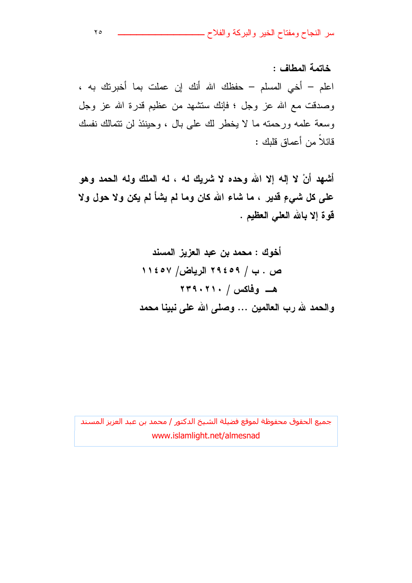سر النجاح ومفتاح الخير والبركة والفلاح ـــ

خاتمة المطاف : اعلم – أخى المسلم – حفظك الله أنك إن عملت بما أخبرتك به ، وصدقت مع الله عز وجل ؛ فإنك سنتشهد من عظيم قدرة الله عز وجل وسعة علمه ورحمته ما لا يخطر لك على بال ، وحينئذ لن نتمالك نفسك قائلاً من أعماق قللك :

أشهد أنْ لا إله إلا الله وحده لا شريك له ، له الملك وله الحمد وهو على كل شيءٍ قدير ، ما شاء الله كان وما لم يشأ لم يكن ولا حول ولا قوة إلا بالله العلى العظيم .

> أخوك : محمد بن عبد العزيز المسند ص . ب / ٢٩٤٥٩ الرياض/ ١١٤٥٧ والحمد لله رب العالمين ... وصلى الله على نبينا محمد